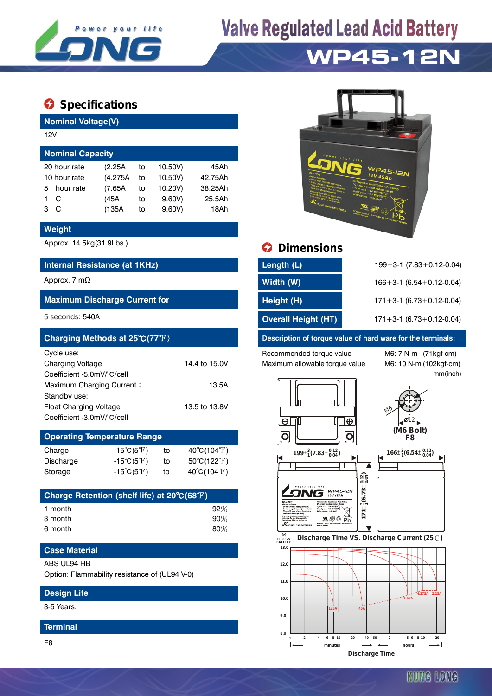

# **Valve Regulated Lead Acid Battery**

## **WP45-12N**

### $\bullet$  Specifications

**Nominal Voltage(V)**

| 12V                     |              |          |    |         |         |  |  |  |  |
|-------------------------|--------------|----------|----|---------|---------|--|--|--|--|
| <b>Nominal Capacity</b> |              |          |    |         |         |  |  |  |  |
|                         | 20 hour rate | (2.25A)  | to | 10.50V) | 45Ah    |  |  |  |  |
| 10 hour rate            |              | (4.275A) | to | 10.50V) | 42.75Ah |  |  |  |  |
| 5.                      | hour rate    | (7.65A)  | to | 10.20V) | 38.25Ah |  |  |  |  |
|                         | C            | (45A     | to | 9.60V   | 25.5Ah  |  |  |  |  |
| з                       | C            | (135A)   | to | 9.60V   | 18Ah    |  |  |  |  |
|                         |              |          |    |         |         |  |  |  |  |

#### **Weight**

#### **Internal Resistance (at 1KHz)**

#### **Maximum Discharge Current for**

| Charging Methods at 25°C(77°F) |               |
|--------------------------------|---------------|
| Cycle use:                     |               |
| <b>Charging Voltage</b>        | 14.4 to 15.0V |
| Coefficient -5.0mV/°C/cell     |               |
| Maximum Charging Current:      | 13.5A         |
| Standby use:                   |               |
| Float Charging Voltage         | 13.5 to 13.8V |
| Coefficient -3.0mV/°C/cell     |               |

### **Operating Temperature Range** Charge  $-15^{\circ}C(5^{\circ}F)$  to  $40^{\circ}C(104^{\circ}F)$

| Discharge | $-15^{\circ}C(5^{\circ}F)$ | to | $50^{\circ}$ C(122 $^{\circ}$ F) |
|-----------|----------------------------|----|----------------------------------|
| Storage   | $-15^{\circ}C(5^{\circ}F)$ | το | 40°C(104°F)                      |

| Charge Retention (shelf life) at 20°C(68°F) |        |
|---------------------------------------------|--------|
| 1 month                                     | 92%    |
| 3 month                                     | $90\%$ |
| 6 month                                     | 80%    |

#### **Case Material**

#### ABS UL94 HB

Option: Flammability resistance of (UL94 V-0)

#### **Design Life**

3-5 Years.

#### **Terminal**

F8



### Approx. 14.5kg(31.9Lbs.) **Dimensions**

| Internal Resistance (at 1KHz)        | Length (L)                 | $199 + 3 - 1$ (7.83 + 0.12 - 0.04) |
|--------------------------------------|----------------------------|------------------------------------|
| Approx. 7 m $\Omega$                 | Width (W)                  | $166 + 3 - 1$ (6.54 + 0.12 - 0.04) |
| <b>Maximum Discharge Current for</b> | Height (H)                 | $171 + 3 - 1$ (6.73 + 0.12 - 0.04) |
| 5 seconds: 540A                      | <b>Overall Height (HT)</b> | $171 + 3 - 1$ (6.73 + 0.12 - 0.04) |

#### **Description of torque value of hard ware for the terminals:**

Recommended torque value M6: 7 N-m (71kgf-cm) Maximum allowable torque value M6: 10 N-m (102kgf-cm)

mm(inch)



 $25<sup>WPA5-IRN</sup>$ 

R

<u>ีพ</u>⊗⊕์po



M6

.Ø12

**Discharge Time VS. Discharge Current (25 ℃)**